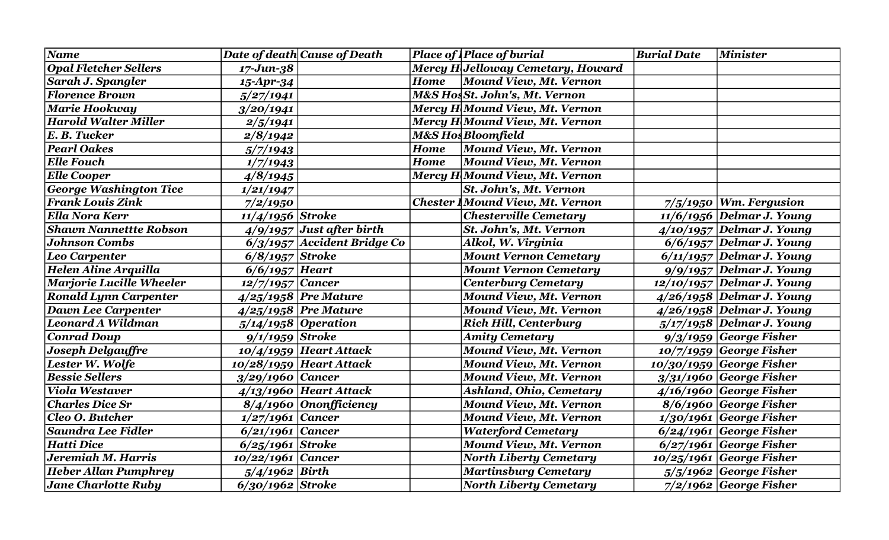| <b>Name</b>                     |                    | Date of death Cause of Death  |             | <b>Place of Place of burial</b>          | <b>Burial Date</b> | <b>Minister</b>              |
|---------------------------------|--------------------|-------------------------------|-------------|------------------------------------------|--------------------|------------------------------|
| <b>Opal Fletcher Sellers</b>    | $17 - Jun - 38$    |                               |             | Mercy H Jelloway Cemetary, Howard        |                    |                              |
| Sarah J. Spangler               | 15-Apr-34          |                               | <b>Home</b> | Mound View, Mt. Vernon                   |                    |                              |
| <b>Florence Brown</b>           | 5/27/1941          |                               |             | <b>M&amp;S HosSt. John's, Mt. Vernon</b> |                    |                              |
| Marie Hookway                   | 3/20/1941          |                               |             | Mercy H Mound View, Mt. Vernon           |                    |                              |
| <b>Harold Walter Miller</b>     | 2/5/1941           |                               |             | Mercy H Mound View, Mt. Vernon           |                    |                              |
| E. B. Tucker                    | 2/8/1942           |                               |             | <b>M&amp;S Hos Bloomfield</b>            |                    |                              |
| <b>Pearl Oakes</b>              | 5/7/1943           |                               | <b>Home</b> | Mound View, Mt. Vernon                   |                    |                              |
| <b>Elle Fouch</b>               | 1/7/1943           |                               | <b>Home</b> | <b>Mound View, Mt. Vernon</b>            |                    |                              |
| <b>Elle Cooper</b>              | 4/8/1945           |                               |             | Mercy H Mound View, Mt. Vernon           |                    |                              |
| <b>George Washington Tice</b>   | 1/21/1947          |                               |             | <b>St. John's, Mt. Vernon</b>            |                    |                              |
| <b>Frank Louis Zink</b>         | 7/2/1950           |                               |             | <b>Chester Mound View, Mt. Vernon</b>    |                    | $7/5/1950$ Wm. Fergusion     |
| <b>Ella Nora Kerr</b>           | $11/4/1956$ Stroke |                               |             | <b>Chesterville Cemetary</b>             |                    | $11/6/1956$ Delmar J. Young  |
| <b>Shawn Nannettte Robson</b>   |                    | $4/9/1957$ Just after birth   |             | St. John's, Mt. Vernon                   |                    | $4/10/1957$ Delmar J. Young  |
| <b>Johnson Combs</b>            |                    | $6/3/1957$ Accident Bridge Co |             | Alkol, W. Virginia                       |                    | $6/6/1957$ Delmar J. Young   |
| Leo Carpenter                   | $6/8/1957$ Stroke  |                               |             | <b>Mount Vernon Cemetary</b>             |                    | $6/11/1957$ Delmar J. Young  |
| Helen Aline Arquilla            | $6/6/1957$ Heart   |                               |             | <b>Mount Vernon Cemetary</b>             |                    | $9/9/1957$ Delmar J. Young   |
| <b>Marjorie Lucille Wheeler</b> | $12/7/1957$ Cancer |                               |             | <b>Centerburg Cemetary</b>               |                    | $12/10/1957$ Delmar J. Young |
| <b>Ronald Lynn Carpenter</b>    |                    | $4/25/1958$ Pre Mature        |             | <b>Mound View, Mt. Vernon</b>            |                    | 4/26/1958 Delmar J. Young    |
| <b>Dawn Lee Carpenter</b>       |                    | $4/25/1958$ Pre Mature        |             | <b>Mound View, Mt. Vernon</b>            |                    | 4/26/1958 Delmar J. Young    |
| Leonard A Wildman               |                    | $5/14/1958$ Operation         |             | <b>Rich Hill, Centerburg</b>             |                    | 5/17/1958 Delmar J. Young    |
| <b>Conrad Doup</b>              | $9/1/1959$ Stroke  |                               |             | <b>Amity Cemetary</b>                    |                    | $9/3/1959$ George Fisher     |
| Joseph Delgauffre               |                    | $10/4/1959$ Heart Attack      |             | <b>Mound View, Mt. Vernon</b>            |                    | $10/7/1959$ George Fisher    |
| Lester W. Wolfe                 |                    | $10/28/1959$ Heart Attack     |             | <b>Mound View, Mt. Vernon</b>            |                    | $10/30/1959$ George Fisher   |
| <b>Bessie Sellers</b>           | 3/29/1960 Cancer   |                               |             | <b>Mound View, Mt. Vernon</b>            |                    | $3/31/1960$ George Fisher    |
| <b>Viola Westaver</b>           |                    | $4/13/1960$ Heart Attack      |             | <b>Ashland, Ohio, Cemetary</b>           |                    | $4/16/1960$ George Fisher    |
| <b>Charles Dice Sr</b>          |                    | $8/4/1960$ Ononfficiency      |             | <b>Mound View, Mt. Vernon</b>            |                    | 8/6/1960 George Fisher       |
| Cleo O. Butcher                 | $1/27/1961$ Cancer |                               |             | <b>Mound View, Mt. Vernon</b>            |                    | $1/30/1961$ George Fisher    |
| Saundra Lee Fidler              | $6/21/1961$ Cancer |                               |             | <b>Waterford Cemetary</b>                |                    | $6/24/1961$ George Fisher    |
| <b>Hatti Dice</b>               | $6/25/1961$ Stroke |                               |             | <b>Mound View, Mt. Vernon</b>            |                    | $6/27/1961$ George Fisher    |
| Jeremiah M. Harris              | 10/22/1961 Cancer  |                               |             | <b>North Liberty Cemetary</b>            |                    | $10/25/1961$ George Fisher   |
| <b>Heber Allan Pumphrey</b>     | $5/4/1962$ Birth   |                               |             | Martinsburg Cemetary                     |                    | $5/5/1962$ George Fisher     |
| <b>Jane Charlotte Ruby</b>      | $6/30/1962$ Stroke |                               |             | <b>North Liberty Cemetary</b>            |                    | $7/2/1962$ George Fisher     |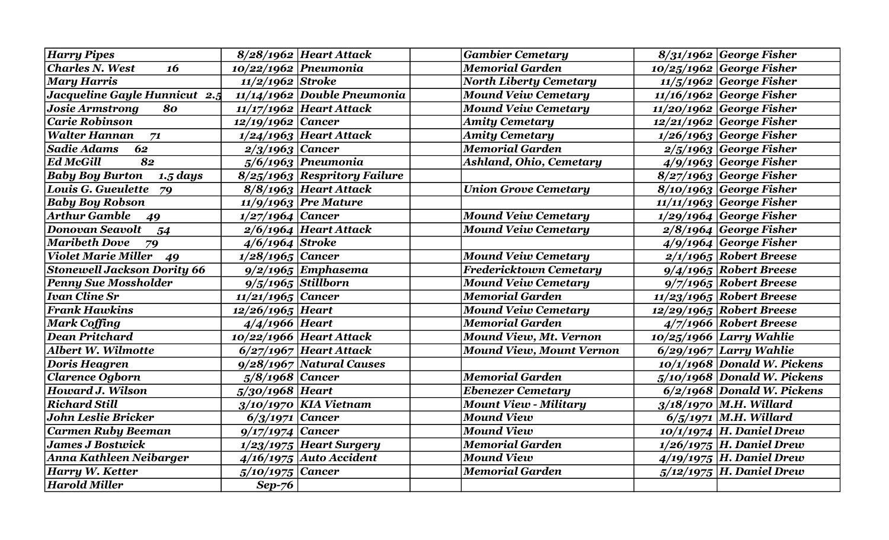| Harry Pipes                             |                      | $8/28/1962$ Heart Attack       | <b>Gambier Cemetary</b>         | $8/31/1962$ George Fisher     |
|-----------------------------------------|----------------------|--------------------------------|---------------------------------|-------------------------------|
| <b>Charles N. West</b><br>16            | 10/22/1962 Pneumonia |                                | <b>Memorial Garden</b>          | $10/25/1962$ George Fisher    |
| <b>Mary Harris</b>                      | $11/2/1962$ Stroke   |                                | <b>North Liberty Cemetary</b>   | $11/5/1962$ George Fisher     |
| Jacqueline Gayle Hunnicut $2.5$         |                      | $11/14/1962$ Double Pneumonia  | <b>Mound Veiw Cemetary</b>      | $11/16/1962$ George Fisher    |
| <b>Josie Armstrong</b><br>80            |                      | $11/17/1962$ Heart Attack      | <b>Mound Veiw Cemetary</b>      | $11/20/1962$ George Fisher    |
| <b>Carie Robinson</b>                   | $12/19/1962$ Cancer  |                                | <b>Amity Cemetary</b>           | $12/21/1962$ George Fisher    |
| <b>Walter Hannan</b><br>71              |                      | $1/24/1963$ Heart Attack       | <b>Amity Cemetary</b>           | $1/26/1963$ George Fisher     |
| <b>Sadie Adams</b><br>62                | $2/3/1963$ Cancer    |                                | <b>Memorial Garden</b>          | $2/5/1963$ George Fisher      |
| <b>Ed McGill</b><br>82                  |                      | $5/6/1963$ Pneumonia           | Ashland, Ohio, Cemetary         | $4/9/1963$ George Fisher      |
| <b>Baby Boy Burton</b><br>$1.5 \; days$ |                      | $8/25/1963$ Respritory Failure |                                 | $8/27/1963$ George Fisher     |
| Louis G. Gueulette<br>79                |                      | 8/8/1963 Heart Attack          | <b>Union Grove Cemetary</b>     | $8/10/1963$ George Fisher     |
| <b>Baby Boy Robson</b>                  |                      | 11/9/1963 Pre Mature           |                                 | $11/11/1963$ George Fisher    |
| <b>Arthur Gamble</b><br>49              | $1/27/1964$ Cancer   |                                | <b>Mound Veiw Cemetary</b>      | $1/29/1964$ George Fisher     |
| <b>Donovan Seavolt</b><br>54            |                      | $2/6/1964$ Heart Attack        | <b>Mound Veiw Cemetary</b>      | $2/8/1964$ George Fisher      |
| <b>Maribeth Dove</b><br>79              | $4/6/1964$ Stroke    |                                |                                 | $4/9/1964$ George Fisher      |
| <b>Violet Marie Miller</b><br>49        | $1/28/1965$ Cancer   |                                | <b>Mound Veiw Cemetary</b>      | $2/1/1965$ Robert Breese      |
| <b>Stonewell Jackson Dority 66</b>      |                      | $9/2/1965$ Emphasema           | <b>Fredericktown Cemetary</b>   | $9/4/1965$ Robert Breese      |
| <b>Penny Sue Mossholder</b>             | $9/5/1965$ Stillborn |                                | <b>Mound Veiw Cemetary</b>      | $9/7/1965$ Robert Breese      |
| <b>Ivan Cline Sr</b>                    | $11/21/1965$ Cancer  |                                | <b>Memorial Garden</b>          | $11/23/1965$ Robert Breese    |
| <b>Frank Hawkins</b>                    | $12/26/1965$ Heart   |                                | <b>Mound Veiw Cemetary</b>      | $12/29/1965$ Robert Breese    |
| Mark Coffing                            | $4/4/1966$ Heart     |                                | <b>Memorial Garden</b>          | $4/7/1966$ Robert Breese      |
| <b>Dean Pritchard</b>                   |                      | 10/22/1966 Heart Attack        | <b>Mound View, Mt. Vernon</b>   | $10/25/1966$ Larry Wahlie     |
| Albert W. Wilmotte                      |                      | $6/27/1967$ Heart Attack       | <b>Mound View, Mount Vernon</b> | $6/29/1967$ Larry Wahlie      |
| <b>Doris Heagren</b>                    |                      | $9/28/1967$ Natural Causes     |                                 | $10/1/1968$ Donald W. Pickens |
| <b>Clarence Ogborn</b>                  | $5/8/1968$ Cancer    |                                | <b>Memorial Garden</b>          | $5/10/1968$ Donald W. Pickens |
| <b>Howard J. Wilson</b>                 | $5/30/1968$ Heart    |                                | <b>Ebenezer Cemetary</b>        | $6/2/1968$ Donald W. Pickens  |
| <b>Richard Still</b>                    |                      | $3/10/1970$ KIA Vietnam        | <b>Mount View - Military</b>    | 3/18/1970 M.H. Willard        |
| <b>John Leslie Bricker</b>              | $6/3/1971$ Cancer    |                                | <b>Mound View</b>               | $6/5/1971$ M.H. Willard       |
| <b>Carmen Ruby Beeman</b>               | $9/17/1974$ Cancer   |                                | <b>Mound View</b>               | $10/1/1974$ H. Daniel Drew    |
| <b>James J Bostwick</b>                 |                      | $1/23/1975$ Heart Surgery      | <b>Memorial Garden</b>          | 1/26/1975 H. Daniel Drew      |
| Anna Kathleen Neibarger                 |                      | $4/16/1975$ Auto Accident      | <b>Mound View</b>               | $4/19/1975$ H. Daniel Drew    |
| Harry W. Ketter                         | $5/10/1975$ Cancer   |                                | <b>Memorial Garden</b>          | $5/12/1975$ H. Daniel Drew    |
| Harold Miller                           | $Sep-76$             |                                |                                 |                               |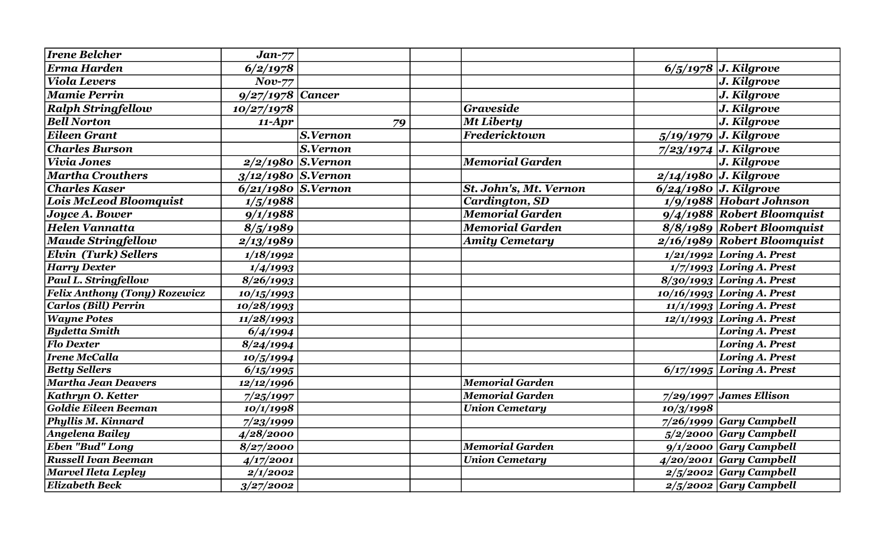| <b>Irene Belcher</b>                 | $Jan-77$                |                     |                        |           |                               |
|--------------------------------------|-------------------------|---------------------|------------------------|-----------|-------------------------------|
| Erma Harden                          | 6/2/1978                |                     |                        |           | $6/5/1978$ J. Kilgrove        |
| Viola Levers                         | $Nov-77$                |                     |                        |           | J. Kilgrove                   |
| <b>Mamie Perrin</b>                  | $9/27/1978$ Cancer      |                     |                        |           | J. Kilgrove                   |
| <b>Ralph Stringfellow</b>            | 10/27/1978              |                     | <b>Graveside</b>       |           | J. Kilgrove                   |
| <b>Bell Norton</b>                   | $11-Apr$                | 79                  | <b>Mt Liberty</b>      |           | J. Kilgrove                   |
| <b>Eileen Grant</b>                  |                         | S.Vernon            | Fredericktown          |           | 5/19/1979 J. Kilgrove         |
| <b>Charles Burson</b>                |                         | S.Vernon            |                        |           | $7/23/1974$ J. Kilgrove       |
| Vivia Jones                          |                         | $2/2/1980$ S.Vernon | <b>Memorial Garden</b> |           | J. Kilgrove                   |
| <b>Martha Crouthers</b>              | $3/12/1980$ S.Vernon    |                     |                        |           | $2/14/1980$ J. Kilgrove       |
| <b>Charles Kaser</b>                 | $6/21/1980$ S.Vernon    |                     | St. John's, Mt. Vernon |           | $6/24/1980$ J. Kilgrove       |
| <b>Lois McLeod Bloomquist</b>        | 1/5/1988                |                     | <b>Cardington, SD</b>  |           | $1/9/1988$ Hobart Johnson     |
| Joyce A. Bower                       | 9/1/1988                |                     | <b>Memorial Garden</b> |           | 9/4/1988 Robert Bloomquist    |
| <b>Helen Vannatta</b>                | 8/5/1989                |                     | <b>Memorial Garden</b> |           | 8/8/1989 Robert Bloomquist    |
| <b>Maude Stringfellow</b>            | 2/13/1989               |                     | <b>Amity Cemetary</b>  |           | $2/16/1989$ Robert Bloomquist |
| <b>Elvin (Turk) Sellers</b>          | 1/18/1992               |                     |                        |           | $1/21/1992$ Loring A. Prest   |
| <b>Harry Dexter</b>                  | 1/4/1993                |                     |                        |           | $1/7/1993$ Loring A. Prest    |
| Paul L. Stringfellow                 | 8/26/1993               |                     |                        |           | $8/30/1993$ Loring A. Prest   |
| <b>Felix Anthony (Tony) Rozewicz</b> | 10/15/1993              |                     |                        |           | $10/16/1993$ Loring A. Prest  |
| <b>Carlos (Bill) Perrin</b>          | 10/28/1993              |                     |                        |           | $11/1/1993$ Loring A. Prest   |
| <b>Wayne Potes</b>                   | $\frac{1}{11}{28}/1993$ |                     |                        |           | $12/1/1993$ Loring A. Prest   |
| <b>Bydetta Smith</b>                 | 6/4/1994                |                     |                        |           | Loring A. Prest               |
| <b>Flo Dexter</b>                    | 8/24/1994               |                     |                        |           | <b>Loring A. Prest</b>        |
| <b>Irene McCalla</b>                 | 10/5/1994               |                     |                        |           | Loring A. Prest               |
| <b>Betty Sellers</b>                 | 6/15/1995               |                     |                        |           | $6/17/1995$ Loring A. Prest   |
| Martha Jean Deavers                  | 12/12/1996              |                     | <b>Memorial Garden</b> |           |                               |
| Kathryn O. Ketter                    | 7/25/1997               |                     | <b>Memorial Garden</b> |           | $7/29/1997$ James Ellison     |
| <b>Goldie Eileen Beeman</b>          | 10/1/1998               |                     | <b>Union Cemetary</b>  | 10/3/1998 |                               |
| Phyllis M. Kinnard                   | 7/23/1999               |                     |                        |           | $7/26/1999$ Gary Campbell     |
| Angelena Bailey                      | 4/28/2000               |                     |                        |           | $5/2/2000$ Gary Campbell      |
| <b>Eben "Bud" Long</b>               | 8/27/2000               |                     | <b>Memorial Garden</b> |           | $9/1/2000$ Gary Campbell      |
| <b>Russell Ivan Beeman</b>           | 4/17/2001               |                     | <b>Union Cemetary</b>  |           | $4/20/2001$ Gary Campbell     |
| <b>Marvel Ileta Lepley</b>           | 2/1/2002                |                     |                        |           | $2/5/2002$ Gary Campbell      |
| <b>Elizabeth Beck</b>                | 3/27/2002               |                     |                        |           | $2/5/2002$ Gary Campbell      |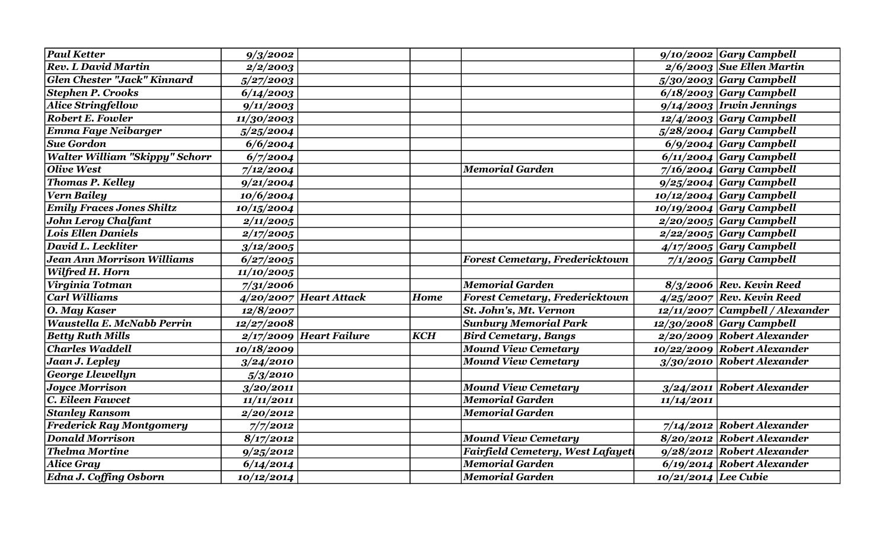| <b>Paul Ketter</b>                    | 9/3/2002                |                           |             |                                         |                        | $9/10/2002$ Gary Campbell         |
|---------------------------------------|-------------------------|---------------------------|-------------|-----------------------------------------|------------------------|-----------------------------------|
| <b>Rev. L David Martin</b>            | 2/2/2003                |                           |             |                                         |                        | $2/6/2003$ Sue Ellen Martin       |
| Glen Chester "Jack" Kinnard           | 5/27/2003               |                           |             |                                         |                        | $5/30/2003$ Gary Campbell         |
| <b>Stephen P. Crooks</b>              | 6/14/2003               |                           |             |                                         |                        | $6/18/2003$ Gary Campbell         |
| <b>Alice Stringfellow</b>             | 9/11/2003               |                           |             |                                         |                        | $9/14/2003$ <i>Irwin Jennings</i> |
| <b>Robert E. Fowler</b>               | 11/30/2003              |                           |             |                                         |                        | $12/4/2003$ Gary Campbell         |
| <b>Emma Faye Neibarger</b>            | 5/25/2004               |                           |             |                                         |                        | $5/28/2004$ Gary Campbell         |
| <b>Sue Gordon</b>                     | 6/6/2004                |                           |             |                                         |                        | $6/9/2004$ Gary Campbell          |
| <b>Walter William "Skippy" Schorr</b> | $\sqrt{6/7/2004}$       |                           |             |                                         |                        | 6/11/2004 Gary Campbell           |
| Olive West                            | 7/12/2004               |                           |             | <b>Memorial Garden</b>                  |                        | $7/16/2004$ Gary Campbell         |
| <b>Thomas P. Kelley</b>               | 9/21/2004               |                           |             |                                         |                        | $9/25/2004$ Gary Campbell         |
| Vern Bailey                           | 10/6/2004               |                           |             |                                         |                        | $10/12/2004$ Gary Campbell        |
| <b>Emily Fraces Jones Shiltz</b>      | 10/15/2004              |                           |             |                                         |                        | $10/19/2004$ Gary Campbell        |
| <b>John Leroy Chalfant</b>            | 2/11/2005               |                           |             |                                         |                        | $2/20/2005$ Gary Campbell         |
| <b>Lois Ellen Daniels</b>             | <i><b>2/17/2005</b></i> |                           |             |                                         |                        | $2/22/2005$ Gary Campbell         |
| David L. Leckliter                    | 3/12/2005               |                           |             |                                         |                        | $4/17/2005$ Gary Campbell         |
| <b>Jean Ann Morrison Williams</b>     | 6/27/2005               |                           |             | <b>Forest Cemetary, Fredericktown</b>   |                        | $7/1/2005$ Gary Campbell          |
| Wilfred H. Horn                       | 11/10/2005              |                           |             |                                         |                        |                                   |
| Virginia Totman                       | 7/31/2006               |                           |             | <b>Memorial Garden</b>                  |                        | $8/3/2006$ Rev. Kevin Reed        |
| Carl Williams                         |                         | $4/20/2007$ Heart Attack  | <b>Home</b> | <b>Forest Cemetary, Fredericktown</b>   |                        | $4/25/2007$ Rev. Kevin Reed       |
| O. May Kaser                          | 12/8/2007               |                           |             | St. John's, Mt. Vernon                  |                        | $12/11/2007$ Campbell / Alexander |
| <b>Waustella E. McNabb Perrin</b>     | 12/27/2008              |                           |             | <b>Sunbury Memorial Park</b>            |                        | $12/30/2008$ Gary Campbell        |
| <b>Betty Ruth Mills</b>               |                         | $2/17/2009$ Heart Failure | <b>KCH</b>  | <b>Bird Cemetary, Bangs</b>             |                        | $2/20/2009$ Robert Alexander      |
| Charles Waddell                       | 10/18/2009              |                           |             | <b>Mound View Cemetary</b>              |                        | 10/22/2009 Robert Alexander       |
| Jaan J. Lepley                        | 3/24/2010               |                           |             | <b>Mound View Cemetary</b>              |                        | $3/30/2010$ Robert Alexander      |
| George Llewellyn                      | 5/3/2010                |                           |             |                                         |                        |                                   |
| <b>Joyce Morrison</b>                 | 3/20/2011               |                           |             | <b>Mound View Cemetary</b>              |                        | $3/24/2011$ Robert Alexander      |
| $ C$ . Eileen Fawcet                  | 11/11/2011              |                           |             | <b>Memorial Garden</b>                  | 11/14/2011             |                                   |
| <b>Stanley Ransom</b>                 | 2/20/2012               |                           |             | <b>Memorial Garden</b>                  |                        |                                   |
| <b>Frederick Ray Montgomery</b>       | 7/7/2012                |                           |             |                                         |                        | $7/14/2012$ Robert Alexander      |
| <b>Donald Morrison</b>                | 8/17/2012               |                           |             | <b>Mound View Cemetary</b>              |                        | 8/20/2012 Robert Alexander        |
| <b>Thelma Mortine</b>                 | 9/25/2012               |                           |             | <b>Fairfield Cemetery, West Lafayet</b> |                        | $9/28/2012$ Robert Alexander      |
| <b>Alice Gray</b>                     | 6/14/2014               |                           |             | <b>Memorial Garden</b>                  |                        | 6/19/2014 Robert Alexander        |
| <b>Edna J. Coffing Osborn</b>         | 10/12/2014              |                           |             | <b>Memorial Garden</b>                  | $10/21/2014$ Lee Cubie |                                   |